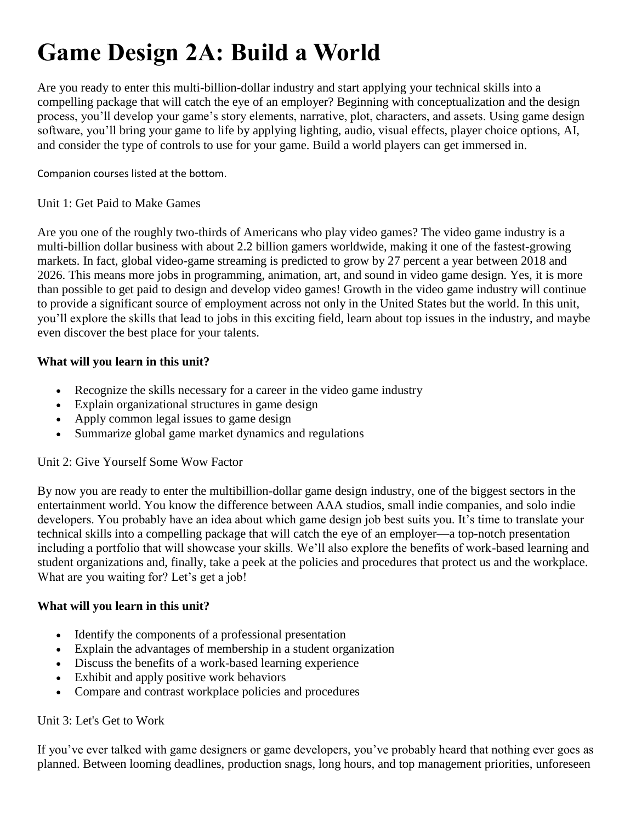# **Game Design 2A: Build a World**

Are you ready to enter this multi-billion-dollar industry and start applying your technical skills into a compelling package that will catch the eye of an employer? Beginning with conceptualization and the design process, you'll develop your game's story elements, narrative, plot, characters, and assets. Using game design software, you'll bring your game to life by applying lighting, audio, visual effects, player choice options, AI, and consider the type of controls to use for your game. Build a world players can get immersed in.

Companion courses listed at the bottom.

## Unit 1: Get Paid to Make Games

Are you one of the roughly two-thirds of Americans who play video games? The video game industry is a multi-billion dollar business with about 2.2 billion gamers worldwide, making it one of the fastest-growing markets. In fact, global video-game streaming is predicted to grow by 27 percent a year between 2018 and 2026. This means more jobs in programming, animation, art, and sound in video game design. Yes, it is more than possible to get paid to design and develop video games! Growth in the video game industry will continue to provide a significant source of employment across not only in the United States but the world. In this unit, you'll explore the skills that lead to jobs in this exciting field, learn about top issues in the industry, and maybe even discover the best place for your talents.

## **What will you learn in this unit?**

- Recognize the skills necessary for a career in the video game industry
- Explain organizational structures in game design
- Apply common legal issues to game design
- Summarize global game market dynamics and regulations

## Unit 2: Give Yourself Some Wow Factor

By now you are ready to enter the multibillion-dollar game design industry, one of the biggest sectors in the entertainment world. You know the difference between AAA studios, small indie companies, and solo indie developers. You probably have an idea about which game design job best suits you. It's time to translate your technical skills into a compelling package that will catch the eye of an employer—a top-notch presentation including a portfolio that will showcase your skills. We'll also explore the benefits of work-based learning and student organizations and, finally, take a peek at the policies and procedures that protect us and the workplace. What are you waiting for? Let's get a job!

## **What will you learn in this unit?**

- Identify the components of a professional presentation
- Explain the advantages of membership in a student organization
- Discuss the benefits of a work-based learning experience
- Exhibit and apply positive work behaviors
- Compare and contrast workplace policies and procedures

## Unit 3: Let's Get to Work

If you've ever talked with game designers or game developers, you've probably heard that nothing ever goes as planned. Between looming deadlines, production snags, long hours, and top management priorities, unforeseen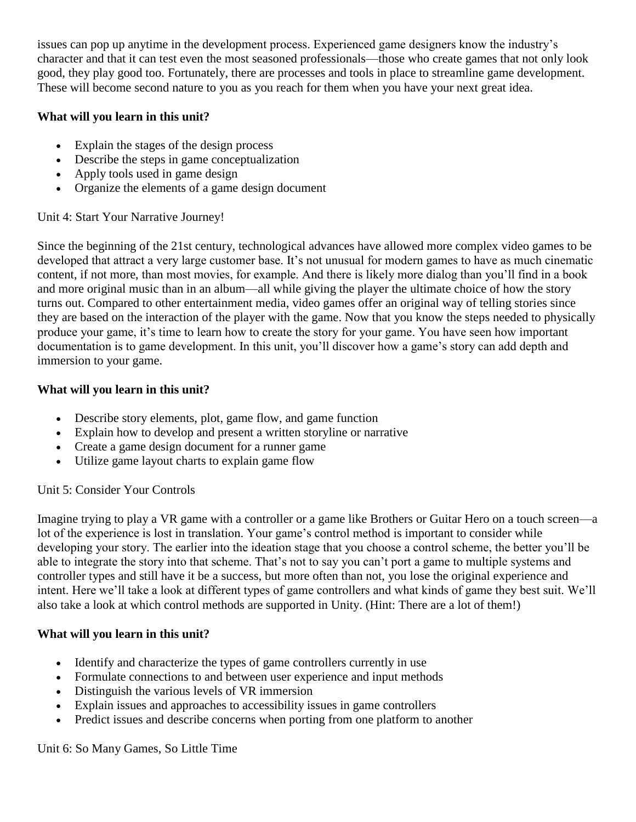issues can pop up anytime in the development process. Experienced game designers know the industry's character and that it can test even the most seasoned professionals—those who create games that not only look good, they play good too. Fortunately, there are processes and tools in place to streamline game development. These will become second nature to you as you reach for them when you have your next great idea.

## **What will you learn in this unit?**

- Explain the stages of the design process
- Describe the steps in game conceptualization
- Apply tools used in game design
- Organize the elements of a game design document

# Unit 4: Start Your Narrative Journey!

Since the beginning of the 21st century, technological advances have allowed more complex video games to be developed that attract a very large customer base. It's not unusual for modern games to have as much cinematic content, if not more, than most movies, for example. And there is likely more dialog than you'll find in a book and more original music than in an album—all while giving the player the ultimate choice of how the story turns out. Compared to other entertainment media, video games offer an original way of telling stories since they are based on the interaction of the player with the game. Now that you know the steps needed to physically produce your game, it's time to learn how to create the story for your game. You have seen how important documentation is to game development. In this unit, you'll discover how a game's story can add depth and immersion to your game.

## **What will you learn in this unit?**

- Describe story elements, plot, game flow, and game function
- Explain how to develop and present a written storyline or narrative
- Create a game design document for a runner game
- Utilize game layout charts to explain game flow

# Unit 5: Consider Your Controls

Imagine trying to play a VR game with a controller or a game like Brothers or Guitar Hero on a touch screen—a lot of the experience is lost in translation. Your game's control method is important to consider while developing your story. The earlier into the ideation stage that you choose a control scheme, the better you'll be able to integrate the story into that scheme. That's not to say you can't port a game to multiple systems and controller types and still have it be a success, but more often than not, you lose the original experience and intent. Here we'll take a look at different types of game controllers and what kinds of game they best suit. We'll also take a look at which control methods are supported in Unity. (Hint: There are a lot of them!)

# **What will you learn in this unit?**

- Identify and characterize the types of game controllers currently in use
- Formulate connections to and between user experience and input methods
- Distinguish the various levels of VR immersion
- Explain issues and approaches to accessibility issues in game controllers
- Predict issues and describe concerns when porting from one platform to another

## Unit 6: So Many Games, So Little Time